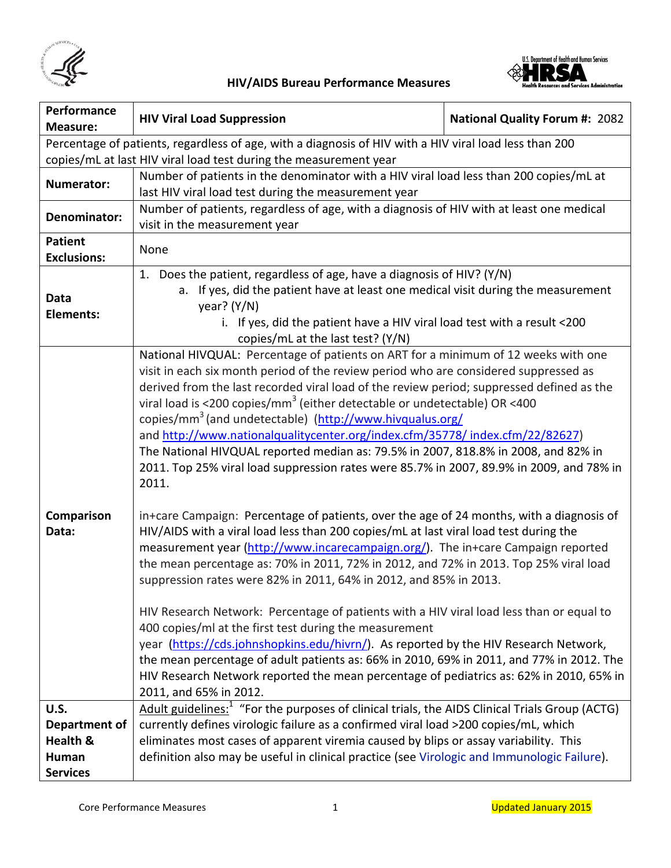



| Performance<br><b>Measure:</b> | <b>HIV Viral Load Suppression</b>                                                                                                                                                | <b>National Quality Forum #: 2082</b> |
|--------------------------------|----------------------------------------------------------------------------------------------------------------------------------------------------------------------------------|---------------------------------------|
|                                | Percentage of patients, regardless of age, with a diagnosis of HIV with a HIV viral load less than 200                                                                           |                                       |
|                                | copies/mL at last HIV viral load test during the measurement year                                                                                                                |                                       |
|                                | Number of patients in the denominator with a HIV viral load less than 200 copies/mL at                                                                                           |                                       |
| <b>Numerator:</b>              | last HIV viral load test during the measurement year                                                                                                                             |                                       |
|                                | Number of patients, regardless of age, with a diagnosis of HIV with at least one medical                                                                                         |                                       |
| Denominator:                   | visit in the measurement year                                                                                                                                                    |                                       |
| <b>Patient</b>                 |                                                                                                                                                                                  |                                       |
| <b>Exclusions:</b>             | None                                                                                                                                                                             |                                       |
| Data                           | 1. Does the patient, regardless of age, have a diagnosis of HIV? (Y/N)<br>a. If yes, did the patient have at least one medical visit during the measurement                      |                                       |
| <b>Elements:</b>               | year? $(Y/N)$                                                                                                                                                                    |                                       |
|                                | i. If yes, did the patient have a HIV viral load test with a result <200<br>copies/mL at the last test? (Y/N)                                                                    |                                       |
|                                | National HIVQUAL: Percentage of patients on ART for a minimum of 12 weeks with one                                                                                               |                                       |
|                                | visit in each six month period of the review period who are considered suppressed as                                                                                             |                                       |
|                                | derived from the last recorded viral load of the review period; suppressed defined as the                                                                                        |                                       |
|                                | viral load is <200 copies/mm <sup>3</sup> (either detectable or undetectable) OR <400                                                                                            |                                       |
|                                | copies/mm <sup>3</sup> (and undetectable) (http://www.hivqualus.org/                                                                                                             |                                       |
|                                | and http://www.nationalqualitycenter.org/index.cfm/35778/index.cfm/22/82627)                                                                                                     |                                       |
|                                | The National HIVQUAL reported median as: 79.5% in 2007, 818.8% in 2008, and 82% in                                                                                               |                                       |
|                                | 2011. Top 25% viral load suppression rates were 85.7% in 2007, 89.9% in 2009, and 78% in<br>2011.                                                                                |                                       |
|                                |                                                                                                                                                                                  |                                       |
| Comparison                     | in+care Campaign: Percentage of patients, over the age of 24 months, with a diagnosis of                                                                                         |                                       |
| Data:                          | HIV/AIDS with a viral load less than 200 copies/mL at last viral load test during the                                                                                            |                                       |
|                                | measurement year (http://www.incarecampaign.org/). The in+care Campaign reported                                                                                                 |                                       |
|                                | the mean percentage as: 70% in 2011, 72% in 2012, and 72% in 2013. Top 25% viral load                                                                                            |                                       |
|                                | suppression rates were 82% in 2011, 64% in 2012, and 85% in 2013.                                                                                                                |                                       |
|                                |                                                                                                                                                                                  |                                       |
|                                | HIV Research Network: Percentage of patients with a HIV viral load less than or equal to                                                                                         |                                       |
|                                | 400 copies/ml at the first test during the measurement                                                                                                                           |                                       |
|                                | year (https://cds.johnshopkins.edu/hivrn/). As reported by the HIV Research Network,<br>the mean percentage of adult patients as: 66% in 2010, 69% in 2011, and 77% in 2012. The |                                       |
|                                | HIV Research Network reported the mean percentage of pediatrics as: 62% in 2010, 65% in                                                                                          |                                       |
|                                | 2011, and 65% in 2012.                                                                                                                                                           |                                       |
| <b>U.S.</b>                    | Adult guidelines: <sup>1</sup> "For the purposes of clinical trials, the AIDS Clinical Trials Group (ACTG)                                                                       |                                       |
| Department of                  | currently defines virologic failure as a confirmed viral load >200 copies/mL, which                                                                                              |                                       |
| Health &                       | eliminates most cases of apparent viremia caused by blips or assay variability. This                                                                                             |                                       |
| Human                          | definition also may be useful in clinical practice (see Virologic and Immunologic Failure).                                                                                      |                                       |
| <b>Services</b>                |                                                                                                                                                                                  |                                       |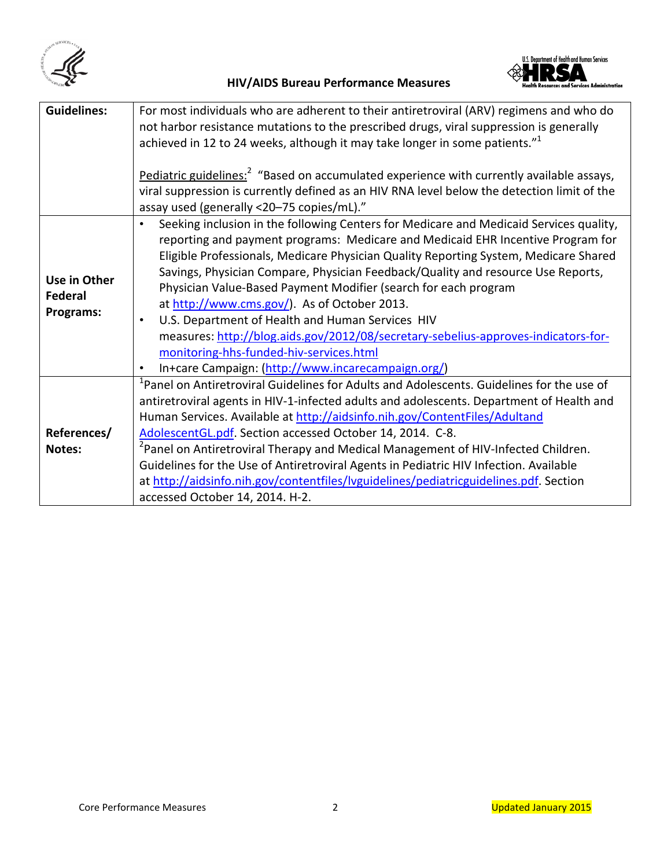



| <b>Guidelines:</b> | For most individuals who are adherent to their antiretroviral (ARV) regimens and who do<br>not harbor resistance mutations to the prescribed drugs, viral suppression is generally |  |  |
|--------------------|------------------------------------------------------------------------------------------------------------------------------------------------------------------------------------|--|--|
|                    | achieved in 12 to 24 weeks, although it may take longer in some patients." <sup>1</sup>                                                                                            |  |  |
|                    | Pediatric guidelines: <sup>2</sup> "Based on accumulated experience with currently available assays,                                                                               |  |  |
|                    | viral suppression is currently defined as an HIV RNA level below the detection limit of the                                                                                        |  |  |
|                    | assay used (generally <20-75 copies/mL)."                                                                                                                                          |  |  |
|                    | Seeking inclusion in the following Centers for Medicare and Medicaid Services quality,                                                                                             |  |  |
|                    | reporting and payment programs: Medicare and Medicaid EHR Incentive Program for                                                                                                    |  |  |
|                    | Eligible Professionals, Medicare Physician Quality Reporting System, Medicare Shared                                                                                               |  |  |
| Use in Other       | Savings, Physician Compare, Physician Feedback/Quality and resource Use Reports,                                                                                                   |  |  |
| <b>Federal</b>     | Physician Value-Based Payment Modifier (search for each program                                                                                                                    |  |  |
|                    | at http://www.cms.gov/). As of October 2013.                                                                                                                                       |  |  |
| Programs:          | U.S. Department of Health and Human Services HIV<br>$\bullet$                                                                                                                      |  |  |
|                    | measures: http://blog.aids.gov/2012/08/secretary-sebelius-approves-indicators-for-                                                                                                 |  |  |
|                    | monitoring-hhs-funded-hiv-services.html                                                                                                                                            |  |  |
|                    | In+care Campaign: (http://www.incarecampaign.org/)                                                                                                                                 |  |  |
|                    | <sup>1</sup> Panel on Antiretroviral Guidelines for Adults and Adolescents. Guidelines for the use of                                                                              |  |  |
|                    | antiretroviral agents in HIV-1-infected adults and adolescents. Department of Health and                                                                                           |  |  |
|                    | Human Services. Available at http://aidsinfo.nih.gov/ContentFiles/Adultand                                                                                                         |  |  |
| References/        | AdolescentGL.pdf. Section accessed October 14, 2014. C-8.                                                                                                                          |  |  |
| Notes:             | <sup>2</sup> Panel on Antiretroviral Therapy and Medical Management of HIV-Infected Children.                                                                                      |  |  |
|                    | Guidelines for the Use of Antiretroviral Agents in Pediatric HIV Infection. Available                                                                                              |  |  |
|                    | at http://aidsinfo.nih.gov/contentfiles/lvguidelines/pediatricguidelines.pdf. Section                                                                                              |  |  |
|                    | accessed October 14, 2014. H-2.                                                                                                                                                    |  |  |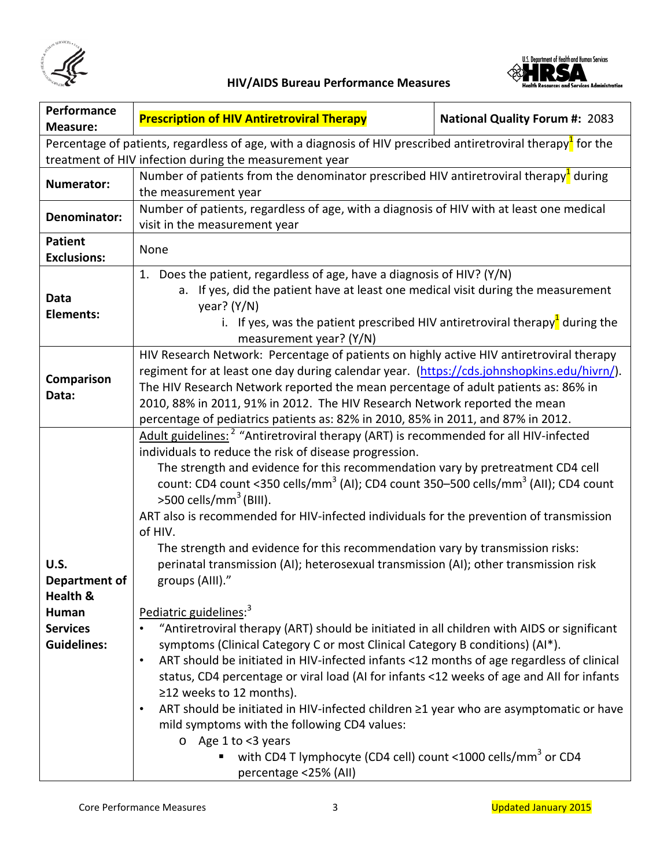



| Performance<br><b>Measure:</b>                                                                                                                                                      | <b>Prescription of HIV Antiretroviral Therapy</b>                                                                                                                                             | <b>National Quality Forum #: 2083</b> |
|-------------------------------------------------------------------------------------------------------------------------------------------------------------------------------------|-----------------------------------------------------------------------------------------------------------------------------------------------------------------------------------------------|---------------------------------------|
|                                                                                                                                                                                     |                                                                                                                                                                                               |                                       |
| Percentage of patients, regardless of age, with a diagnosis of HIV prescribed antiretroviral therapy <sup>1</sup> for the<br>treatment of HIV infection during the measurement year |                                                                                                                                                                                               |                                       |
|                                                                                                                                                                                     | Number of patients from the denominator prescribed HIV antiretroviral therapy <sup>1</sup> during                                                                                             |                                       |
| Numerator:                                                                                                                                                                          | the measurement year                                                                                                                                                                          |                                       |
|                                                                                                                                                                                     | Number of patients, regardless of age, with a diagnosis of HIV with at least one medical                                                                                                      |                                       |
| Denominator:                                                                                                                                                                        | visit in the measurement year                                                                                                                                                                 |                                       |
| <b>Patient</b>                                                                                                                                                                      |                                                                                                                                                                                               |                                       |
| <b>Exclusions:</b>                                                                                                                                                                  | None                                                                                                                                                                                          |                                       |
|                                                                                                                                                                                     | 1. Does the patient, regardless of age, have a diagnosis of HIV? (Y/N)                                                                                                                        |                                       |
| Data                                                                                                                                                                                | a. If yes, did the patient have at least one medical visit during the measurement                                                                                                             |                                       |
| <b>Elements:</b>                                                                                                                                                                    | year? $(Y/N)$                                                                                                                                                                                 |                                       |
|                                                                                                                                                                                     | i. If yes, was the patient prescribed HIV antiretroviral therapy <sup>1</sup> during the                                                                                                      |                                       |
|                                                                                                                                                                                     | measurement year? (Y/N)                                                                                                                                                                       |                                       |
|                                                                                                                                                                                     | HIV Research Network: Percentage of patients on highly active HIV antiretroviral therapy                                                                                                      |                                       |
| Comparison                                                                                                                                                                          | regiment for at least one day during calendar year. (https://cds.johnshopkins.edu/hivrn/).                                                                                                    |                                       |
| Data:                                                                                                                                                                               | The HIV Research Network reported the mean percentage of adult patients as: 86% in                                                                                                            |                                       |
|                                                                                                                                                                                     | 2010, 88% in 2011, 91% in 2012. The HIV Research Network reported the mean                                                                                                                    |                                       |
|                                                                                                                                                                                     | percentage of pediatrics patients as: 82% in 2010, 85% in 2011, and 87% in 2012.                                                                                                              |                                       |
|                                                                                                                                                                                     | Adult guidelines: <sup>2</sup> "Antiretroviral therapy (ART) is recommended for all HIV-infected                                                                                              |                                       |
|                                                                                                                                                                                     | individuals to reduce the risk of disease progression.                                                                                                                                        |                                       |
|                                                                                                                                                                                     | The strength and evidence for this recommendation vary by pretreatment CD4 cell<br>count: CD4 count <350 cells/mm <sup>3</sup> (AI); CD4 count 350-500 cells/mm <sup>3</sup> (AII); CD4 count |                                       |
|                                                                                                                                                                                     | $>$ 500 cells/mm <sup>3</sup> (BIII).                                                                                                                                                         |                                       |
| <b>U.S.</b>                                                                                                                                                                         | ART also is recommended for HIV-infected individuals for the prevention of transmission                                                                                                       |                                       |
|                                                                                                                                                                                     | of HIV.                                                                                                                                                                                       |                                       |
|                                                                                                                                                                                     | The strength and evidence for this recommendation vary by transmission risks:                                                                                                                 |                                       |
|                                                                                                                                                                                     | perinatal transmission (AI); heterosexual transmission (AI); other transmission risk                                                                                                          |                                       |
| Department of                                                                                                                                                                       | groups (AIII)."                                                                                                                                                                               |                                       |
| Health &                                                                                                                                                                            |                                                                                                                                                                                               |                                       |
| Human                                                                                                                                                                               | Pediatric guidelines: <sup>3</sup>                                                                                                                                                            |                                       |
| <b>Services</b>                                                                                                                                                                     | "Antiretroviral therapy (ART) should be initiated in all children with AIDS or significant                                                                                                    |                                       |
| <b>Guidelines:</b>                                                                                                                                                                  | symptoms (Clinical Category C or most Clinical Category B conditions) (AI*).                                                                                                                  |                                       |
|                                                                                                                                                                                     | ART should be initiated in HIV-infected infants <12 months of age regardless of clinical<br>$\bullet$                                                                                         |                                       |
|                                                                                                                                                                                     | status, CD4 percentage or viral load (AI for infants <12 weeks of age and AII for infants<br>≥12 weeks to 12 months).                                                                         |                                       |
|                                                                                                                                                                                     | ART should be initiated in HIV-infected children ≥1 year who are asymptomatic or have<br>$\bullet$                                                                                            |                                       |
|                                                                                                                                                                                     | mild symptoms with the following CD4 values:                                                                                                                                                  |                                       |
|                                                                                                                                                                                     | $\circ$ Age 1 to <3 years                                                                                                                                                                     |                                       |
|                                                                                                                                                                                     | with CD4 T lymphocyte (CD4 cell) count <1000 cells/mm <sup>3</sup> or CD4                                                                                                                     |                                       |
|                                                                                                                                                                                     | percentage <25% (All)                                                                                                                                                                         |                                       |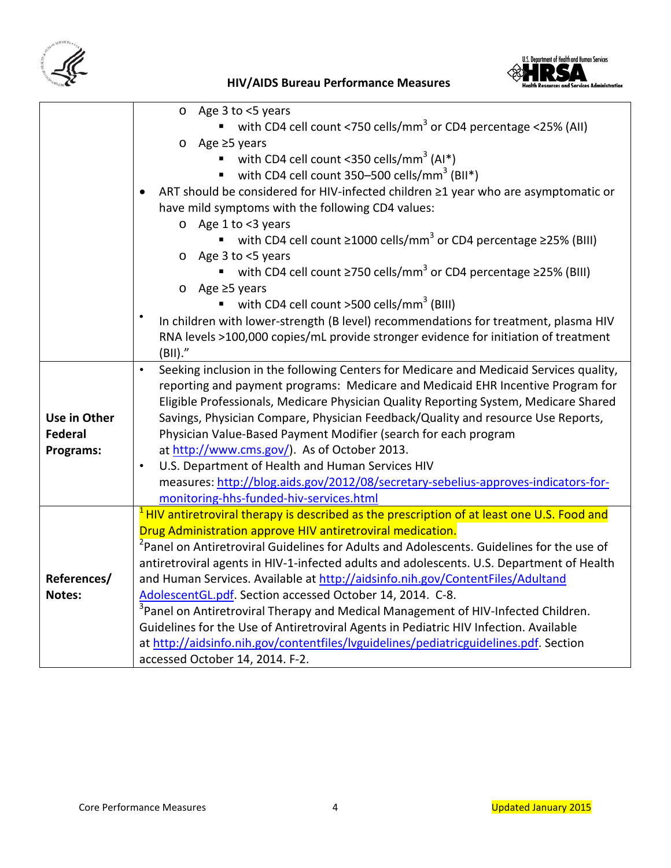



|                | Age 3 to <5 years<br>$\circ$                                                                                                            |
|----------------|-----------------------------------------------------------------------------------------------------------------------------------------|
|                | with CD4 cell count <750 cells/mm <sup>3</sup> or CD4 percentage <25% (AII)                                                             |
|                | Age ≥5 years<br>O                                                                                                                       |
|                | with CD4 cell count <350 cells/mm <sup>3</sup> (AI*)                                                                                    |
|                | with CD4 cell count 350-500 cells/mm <sup>3</sup> (BII*)<br>٠                                                                           |
|                | ART should be considered for HIV-infected children ≥1 year who are asymptomatic or<br>have mild symptoms with the following CD4 values: |
|                | o Age 1 to <3 years                                                                                                                     |
|                | with CD4 cell count $\geq$ 1000 cells/mm <sup>3</sup> or CD4 percentage $\geq$ 25% (BIII)                                               |
|                | Age 3 to <5 years<br>O                                                                                                                  |
|                | with CD4 cell count $\geq$ 750 cells/mm <sup>3</sup> or CD4 percentage $\geq$ 25% (BIII)                                                |
|                | Age $\geq$ 5 years<br>O                                                                                                                 |
|                | with CD4 cell count >500 cells/mm <sup>3</sup> (BIII)                                                                                   |
|                | In children with lower-strength (B level) recommendations for treatment, plasma HIV                                                     |
|                | RNA levels >100,000 copies/mL provide stronger evidence for initiation of treatment                                                     |
|                | (BII).''                                                                                                                                |
|                | Seeking inclusion in the following Centers for Medicare and Medicaid Services quality,<br>$\bullet$                                     |
|                | reporting and payment programs: Medicare and Medicaid EHR Incentive Program for                                                         |
|                | Eligible Professionals, Medicare Physician Quality Reporting System, Medicare Shared                                                    |
| Use in Other   | Savings, Physician Compare, Physician Feedback/Quality and resource Use Reports,                                                        |
| <b>Federal</b> | Physician Value-Based Payment Modifier (search for each program                                                                         |
| Programs:      | at http://www.cms.gov/). As of October 2013.                                                                                            |
|                | U.S. Department of Health and Human Services HIV<br>$\bullet$                                                                           |
|                | measures: http://blog.aids.gov/2012/08/secretary-sebelius-approves-indicators-for-                                                      |
|                | monitoring-hhs-funded-hiv-services.html                                                                                                 |
|                | <sup>1</sup> HIV antiretroviral therapy is described as the prescription of at least one U.S. Food and                                  |
|                | Drug Administration approve HIV antiretroviral medication.                                                                              |
|                | <sup>2</sup> Panel on Antiretroviral Guidelines for Adults and Adolescents. Guidelines for the use of                                   |
|                | antiretroviral agents in HIV-1-infected adults and adolescents. U.S. Department of Health                                               |
| References/    | and Human Services. Available at http://aidsinfo.nih.gov/ContentFiles/Adultand                                                          |
| Notes:         | AdolescentGL.pdf. Section accessed October 14, 2014. C-8.                                                                               |
|                | <sup>3</sup> Panel on Antiretroviral Therapy and Medical Management of HIV-Infected Children.                                           |
|                | Guidelines for the Use of Antiretroviral Agents in Pediatric HIV Infection. Available                                                   |
|                | at http://aidsinfo.nih.gov/contentfiles/lvguidelines/pediatricguidelines.pdf. Section                                                   |
|                | accessed October 14, 2014. F-2.                                                                                                         |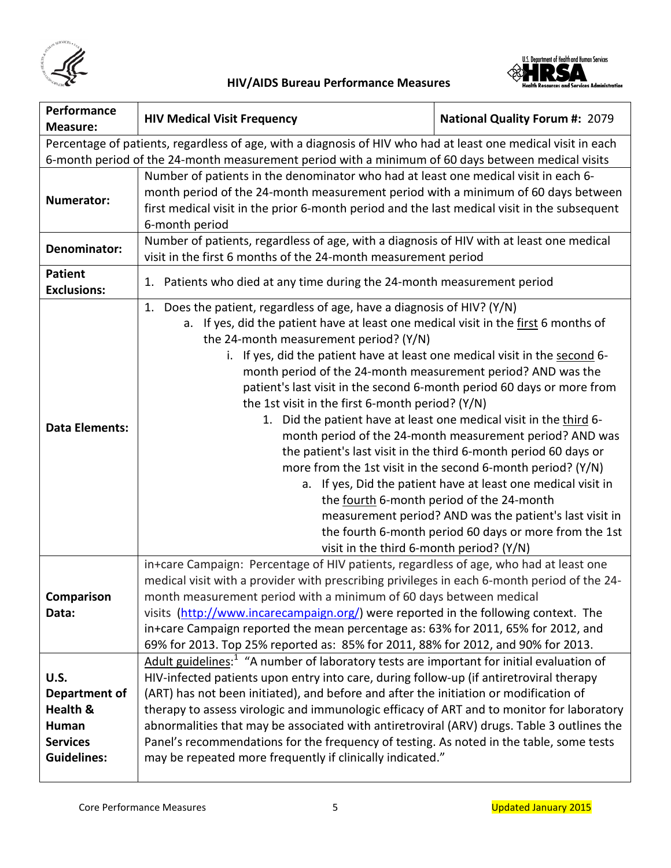



| Performance<br><b>Measure:</b>                                                                             | <b>HIV Medical Visit Frequency</b>                                                                                                                                                                                                                                                                                                                                                                                                                                                                                                                                                                                                                                                                                                                                                                                                                                                                                                                                                                                                                                                                                                                                        | <b>National Quality Forum #: 2079</b>                                                                                                                                                                                                                                                                                                                                                                                         |
|------------------------------------------------------------------------------------------------------------|---------------------------------------------------------------------------------------------------------------------------------------------------------------------------------------------------------------------------------------------------------------------------------------------------------------------------------------------------------------------------------------------------------------------------------------------------------------------------------------------------------------------------------------------------------------------------------------------------------------------------------------------------------------------------------------------------------------------------------------------------------------------------------------------------------------------------------------------------------------------------------------------------------------------------------------------------------------------------------------------------------------------------------------------------------------------------------------------------------------------------------------------------------------------------|-------------------------------------------------------------------------------------------------------------------------------------------------------------------------------------------------------------------------------------------------------------------------------------------------------------------------------------------------------------------------------------------------------------------------------|
|                                                                                                            | Percentage of patients, regardless of age, with a diagnosis of HIV who had at least one medical visit in each                                                                                                                                                                                                                                                                                                                                                                                                                                                                                                                                                                                                                                                                                                                                                                                                                                                                                                                                                                                                                                                             |                                                                                                                                                                                                                                                                                                                                                                                                                               |
|                                                                                                            | 6-month period of the 24-month measurement period with a minimum of 60 days between medical visits                                                                                                                                                                                                                                                                                                                                                                                                                                                                                                                                                                                                                                                                                                                                                                                                                                                                                                                                                                                                                                                                        |                                                                                                                                                                                                                                                                                                                                                                                                                               |
| Numerator:                                                                                                 | Number of patients in the denominator who had at least one medical visit in each 6-<br>month period of the 24-month measurement period with a minimum of 60 days between<br>first medical visit in the prior 6-month period and the last medical visit in the subsequent<br>6-month period                                                                                                                                                                                                                                                                                                                                                                                                                                                                                                                                                                                                                                                                                                                                                                                                                                                                                |                                                                                                                                                                                                                                                                                                                                                                                                                               |
| Denominator:                                                                                               | Number of patients, regardless of age, with a diagnosis of HIV with at least one medical<br>visit in the first 6 months of the 24-month measurement period                                                                                                                                                                                                                                                                                                                                                                                                                                                                                                                                                                                                                                                                                                                                                                                                                                                                                                                                                                                                                |                                                                                                                                                                                                                                                                                                                                                                                                                               |
| <b>Patient</b><br><b>Exclusions:</b>                                                                       | 1. Patients who died at any time during the 24-month measurement period                                                                                                                                                                                                                                                                                                                                                                                                                                                                                                                                                                                                                                                                                                                                                                                                                                                                                                                                                                                                                                                                                                   |                                                                                                                                                                                                                                                                                                                                                                                                                               |
| <b>Data Elements:</b>                                                                                      | Does the patient, regardless of age, have a diagnosis of HIV? (Y/N)<br>1.<br>a. If yes, did the patient have at least one medical visit in the first 6 months of<br>the 24-month measurement period? (Y/N)<br>If yes, did the patient have at least one medical visit in the second 6-<br>i.<br>month period of the 24-month measurement period? AND was the<br>patient's last visit in the second 6-month period 60 days or more from<br>the 1st visit in the first 6-month period? (Y/N)<br>1. Did the patient have at least one medical visit in the third 6-<br>visit in the third 6-month period? (Y/N)                                                                                                                                                                                                                                                                                                                                                                                                                                                                                                                                                              | month period of the 24-month measurement period? AND was<br>the patient's last visit in the third 6-month period 60 days or<br>more from the 1st visit in the second 6-month period? (Y/N)<br>a. If yes, Did the patient have at least one medical visit in<br>the fourth 6-month period of the 24-month<br>measurement period? AND was the patient's last visit in<br>the fourth 6-month period 60 days or more from the 1st |
| Comparison<br>Data:<br>U.S.<br>Department of<br>Health &<br>Human<br><b>Services</b><br><b>Guidelines:</b> | in+care Campaign: Percentage of HIV patients, regardless of age, who had at least one<br>medical visit with a provider with prescribing privileges in each 6-month period of the 24-<br>month measurement period with a minimum of 60 days between medical<br>visits (http://www.incarecampaign.org/) were reported in the following context. The<br>in+care Campaign reported the mean percentage as: 63% for 2011, 65% for 2012, and<br>69% for 2013. Top 25% reported as: 85% for 2011, 88% for 2012, and 90% for 2013.<br>Adult guidelines: <sup>1</sup> "A number of laboratory tests are important for initial evaluation of<br>HIV-infected patients upon entry into care, during follow-up (if antiretroviral therapy<br>(ART) has not been initiated), and before and after the initiation or modification of<br>therapy to assess virologic and immunologic efficacy of ART and to monitor for laboratory<br>abnormalities that may be associated with antiretroviral (ARV) drugs. Table 3 outlines the<br>Panel's recommendations for the frequency of testing. As noted in the table, some tests<br>may be repeated more frequently if clinically indicated." |                                                                                                                                                                                                                                                                                                                                                                                                                               |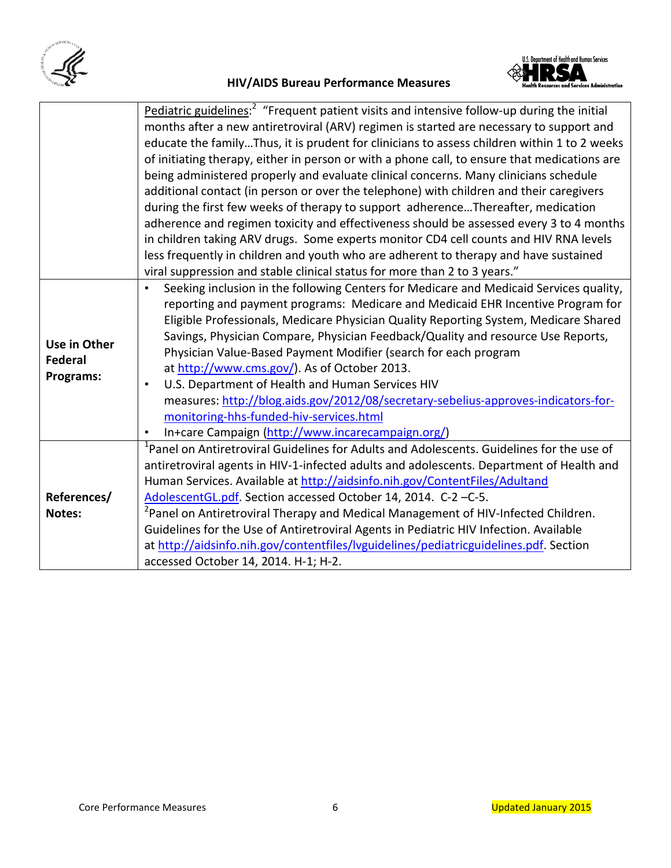



|                | Pediatric guidelines: <sup>2</sup> "Frequent patient visits and intensive follow-up during the initial |
|----------------|--------------------------------------------------------------------------------------------------------|
|                | months after a new antiretroviral (ARV) regimen is started are necessary to support and                |
|                | educate the familyThus, it is prudent for clinicians to assess children within 1 to 2 weeks            |
|                | of initiating therapy, either in person or with a phone call, to ensure that medications are           |
|                | being administered properly and evaluate clinical concerns. Many clinicians schedule                   |
|                | additional contact (in person or over the telephone) with children and their caregivers                |
|                | during the first few weeks of therapy to support adherenceThereafter, medication                       |
|                | adherence and regimen toxicity and effectiveness should be assessed every 3 to 4 months                |
|                | in children taking ARV drugs. Some experts monitor CD4 cell counts and HIV RNA levels                  |
|                | less frequently in children and youth who are adherent to therapy and have sustained                   |
|                | viral suppression and stable clinical status for more than 2 to 3 years."                              |
|                | Seeking inclusion in the following Centers for Medicare and Medicaid Services quality,<br>$\bullet$    |
|                | reporting and payment programs: Medicare and Medicaid EHR Incentive Program for                        |
|                | Eligible Professionals, Medicare Physician Quality Reporting System, Medicare Shared                   |
|                | Savings, Physician Compare, Physician Feedback/Quality and resource Use Reports,                       |
| Use in Other   | Physician Value-Based Payment Modifier (search for each program                                        |
| <b>Federal</b> | at http://www.cms.gov/). As of October 2013.                                                           |
| Programs:      | U.S. Department of Health and Human Services HIV<br>$\bullet$                                          |
|                | measures: http://blog.aids.gov/2012/08/secretary-sebelius-approves-indicators-for-                     |
|                | monitoring-hhs-funded-hiv-services.html                                                                |
|                | In+care Campaign (http://www.incarecampaign.org/)<br>$\bullet$                                         |
|                | <sup>1</sup> Panel on Antiretroviral Guidelines for Adults and Adolescents. Guidelines for the use of  |
|                | antiretroviral agents in HIV-1-infected adults and adolescents. Department of Health and               |
|                | Human Services. Available at http://aidsinfo.nih.gov/ContentFiles/Adultand                             |
| References/    | AdolescentGL.pdf. Section accessed October 14, 2014. C-2-C-5.                                          |
| Notes:         | <sup>2</sup> Panel on Antiretroviral Therapy and Medical Management of HIV-Infected Children.          |
|                | Guidelines for the Use of Antiretroviral Agents in Pediatric HIV Infection. Available                  |
|                | at http://aidsinfo.nih.gov/contentfiles/lvguidelines/pediatricguidelines.pdf. Section                  |
|                | accessed October 14, 2014. H-1; H-2.                                                                   |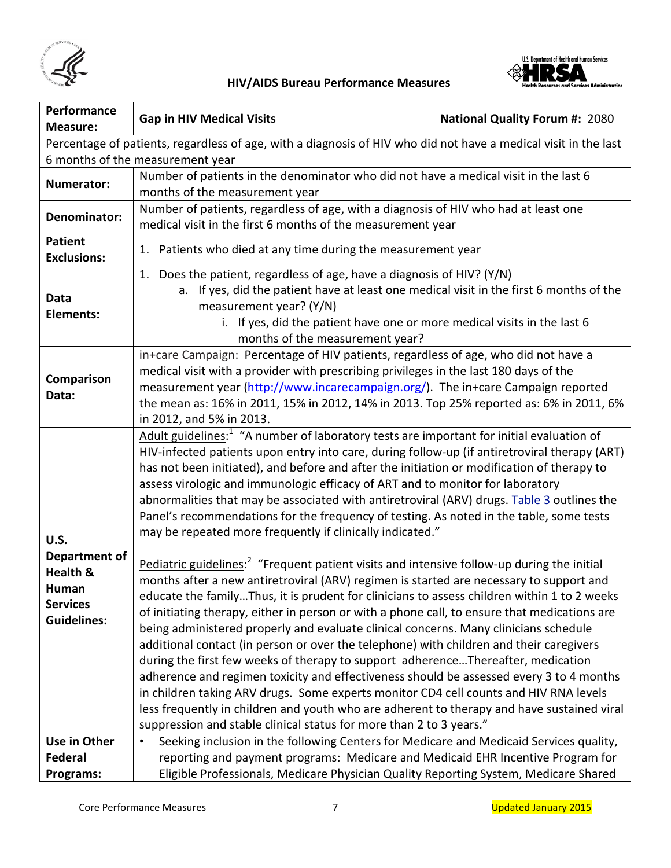



| Performance<br><b>Measure:</b>                                                                      | <b>Gap in HIV Medical Visits</b>                                                                                                                                            | <b>National Quality Forum #: 2080</b> |
|-----------------------------------------------------------------------------------------------------|-----------------------------------------------------------------------------------------------------------------------------------------------------------------------------|---------------------------------------|
|                                                                                                     | Percentage of patients, regardless of age, with a diagnosis of HIV who did not have a medical visit in the last                                                             |                                       |
|                                                                                                     | 6 months of the measurement year                                                                                                                                            |                                       |
|                                                                                                     | Number of patients in the denominator who did not have a medical visit in the last 6                                                                                        |                                       |
| Numerator:                                                                                          | months of the measurement year                                                                                                                                              |                                       |
| Number of patients, regardless of age, with a diagnosis of HIV who had at least one<br>Denominator: |                                                                                                                                                                             |                                       |
|                                                                                                     | medical visit in the first 6 months of the measurement year                                                                                                                 |                                       |
| <b>Patient</b>                                                                                      | 1. Patients who died at any time during the measurement year                                                                                                                |                                       |
| <b>Exclusions:</b>                                                                                  |                                                                                                                                                                             |                                       |
|                                                                                                     | 1. Does the patient, regardless of age, have a diagnosis of HIV? (Y/N)                                                                                                      |                                       |
| Data                                                                                                | a. If yes, did the patient have at least one medical visit in the first 6 months of the                                                                                     |                                       |
| <b>Elements:</b>                                                                                    | measurement year? (Y/N)                                                                                                                                                     |                                       |
|                                                                                                     | i. If yes, did the patient have one or more medical visits in the last 6                                                                                                    |                                       |
|                                                                                                     | months of the measurement year?                                                                                                                                             |                                       |
|                                                                                                     | in+care Campaign: Percentage of HIV patients, regardless of age, who did not have a                                                                                         |                                       |
| Comparison                                                                                          | medical visit with a provider with prescribing privileges in the last 180 days of the                                                                                       |                                       |
| Data:                                                                                               | measurement year (http://www.incarecampaign.org/). The in+care Campaign reported<br>the mean as: 16% in 2011, 15% in 2012, 14% in 2013. Top 25% reported as: 6% in 2011, 6% |                                       |
|                                                                                                     | in 2012, and 5% in 2013.                                                                                                                                                    |                                       |
|                                                                                                     | Adult guidelines: <sup>1</sup> "A number of laboratory tests are important for initial evaluation of                                                                        |                                       |
|                                                                                                     | HIV-infected patients upon entry into care, during follow-up (if antiretroviral therapy (ART)                                                                               |                                       |
|                                                                                                     | has not been initiated), and before and after the initiation or modification of therapy to                                                                                  |                                       |
|                                                                                                     | assess virologic and immunologic efficacy of ART and to monitor for laboratory                                                                                              |                                       |
|                                                                                                     | abnormalities that may be associated with antiretroviral (ARV) drugs. Table 3 outlines the                                                                                  |                                       |
|                                                                                                     |                                                                                                                                                                             |                                       |
|                                                                                                     | Panel's recommendations for the frequency of testing. As noted in the table, some tests<br>may be repeated more frequently if clinically indicated."                        |                                       |
| <b>U.S.</b>                                                                                         |                                                                                                                                                                             |                                       |
| Department of                                                                                       | Pediatric guidelines: <sup>2</sup> "Frequent patient visits and intensive follow-up during the initial                                                                      |                                       |
| Health &                                                                                            | months after a new antiretroviral (ARV) regimen is started are necessary to support and                                                                                     |                                       |
| Human                                                                                               | educate the familyThus, it is prudent for clinicians to assess children within 1 to 2 weeks                                                                                 |                                       |
| <b>Services</b>                                                                                     | of initiating therapy, either in person or with a phone call, to ensure that medications are                                                                                |                                       |
| <b>Guidelines:</b>                                                                                  | being administered properly and evaluate clinical concerns. Many clinicians schedule                                                                                        |                                       |
|                                                                                                     | additional contact (in person or over the telephone) with children and their caregivers                                                                                     |                                       |
|                                                                                                     | during the first few weeks of therapy to support adherenceThereafter, medication                                                                                            |                                       |
|                                                                                                     | adherence and regimen toxicity and effectiveness should be assessed every 3 to 4 months                                                                                     |                                       |
|                                                                                                     | in children taking ARV drugs. Some experts monitor CD4 cell counts and HIV RNA levels                                                                                       |                                       |
|                                                                                                     | less frequently in children and youth who are adherent to therapy and have sustained viral                                                                                  |                                       |
|                                                                                                     | suppression and stable clinical status for more than 2 to 3 years."                                                                                                         |                                       |
| Use in Other                                                                                        | Seeking inclusion in the following Centers for Medicare and Medicaid Services quality,<br>$\bullet$                                                                         |                                       |
| <b>Federal</b>                                                                                      | reporting and payment programs: Medicare and Medicaid EHR Incentive Program for                                                                                             |                                       |
| Programs:                                                                                           | Eligible Professionals, Medicare Physician Quality Reporting System, Medicare Shared                                                                                        |                                       |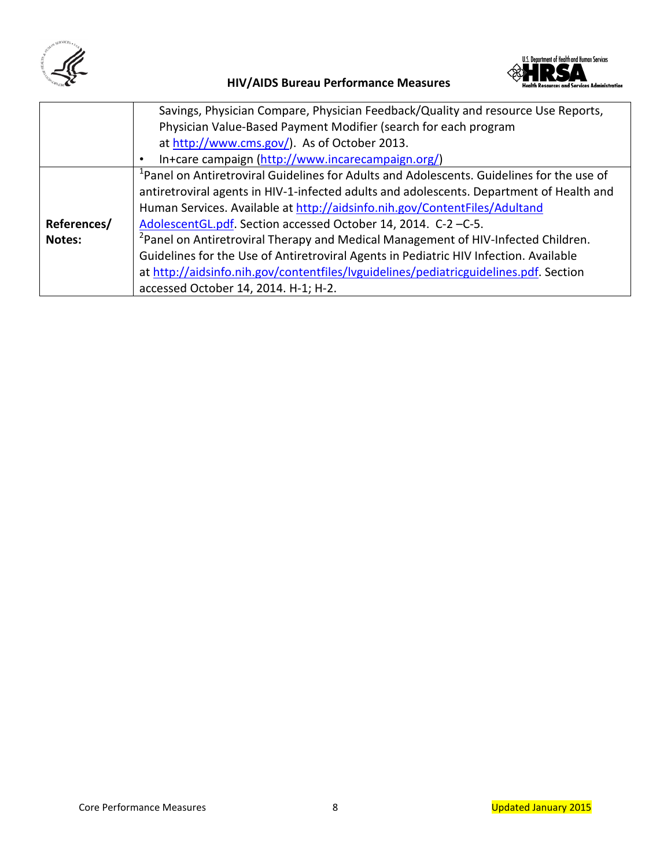



|             | Savings, Physician Compare, Physician Feedback/Quality and resource Use Reports,                      |  |
|-------------|-------------------------------------------------------------------------------------------------------|--|
|             | Physician Value-Based Payment Modifier (search for each program                                       |  |
|             | at http://www.cms.gov/). As of October 2013.                                                          |  |
|             | In+care campaign (http://www.incarecampaign.org/)                                                     |  |
|             | <sup>1</sup> Panel on Antiretroviral Guidelines for Adults and Adolescents. Guidelines for the use of |  |
|             | antiretroviral agents in HIV-1-infected adults and adolescents. Department of Health and              |  |
|             | Human Services. Available at http://aidsinfo.nih.gov/ContentFiles/Adultand                            |  |
| References/ | AdolescentGL.pdf. Section accessed October 14, 2014. C-2-C-5.                                         |  |
| Notes:      | <sup>2</sup> Panel on Antiretroviral Therapy and Medical Management of HIV-Infected Children.         |  |
|             | Guidelines for the Use of Antiretroviral Agents in Pediatric HIV Infection. Available                 |  |
|             | at http://aidsinfo.nih.gov/contentfiles/lyguidelines/pediatricguidelines.pdf. Section                 |  |
|             | accessed October 14, 2014. H-1; H-2.                                                                  |  |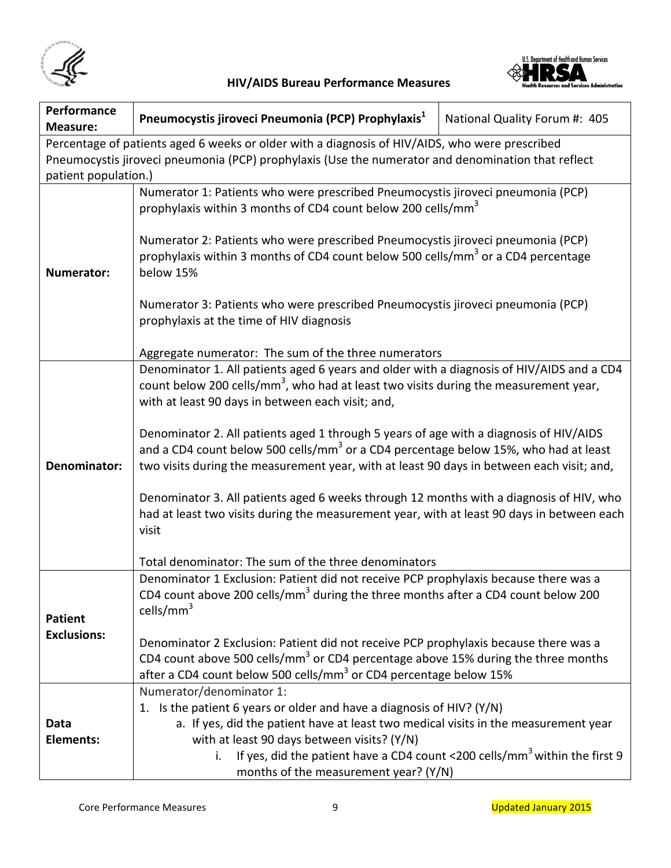



| Performance<br><b>Measure:</b>                                                                 | Pneumocystis jiroveci Pneumonia (PCP) Prophylaxis <sup>1</sup>                                                                                                                                                                                                                                                                                                                                                                                                                                                                                                                                                                                                                                                                                                                                         | National Quality Forum #: 405 |
|------------------------------------------------------------------------------------------------|--------------------------------------------------------------------------------------------------------------------------------------------------------------------------------------------------------------------------------------------------------------------------------------------------------------------------------------------------------------------------------------------------------------------------------------------------------------------------------------------------------------------------------------------------------------------------------------------------------------------------------------------------------------------------------------------------------------------------------------------------------------------------------------------------------|-------------------------------|
| Percentage of patients aged 6 weeks or older with a diagnosis of HIV/AIDS, who were prescribed |                                                                                                                                                                                                                                                                                                                                                                                                                                                                                                                                                                                                                                                                                                                                                                                                        |                               |
|                                                                                                | Pneumocystis jiroveci pneumonia (PCP) prophylaxis (Use the numerator and denomination that reflect                                                                                                                                                                                                                                                                                                                                                                                                                                                                                                                                                                                                                                                                                                     |                               |
| patient population.)                                                                           |                                                                                                                                                                                                                                                                                                                                                                                                                                                                                                                                                                                                                                                                                                                                                                                                        |                               |
| <b>Numerator:</b>                                                                              | Numerator 1: Patients who were prescribed Pneumocystis jiroveci pneumonia (PCP)<br>prophylaxis within 3 months of CD4 count below 200 cells/mm <sup>3</sup><br>Numerator 2: Patients who were prescribed Pneumocystis jiroveci pneumonia (PCP)<br>prophylaxis within 3 months of CD4 count below 500 cells/mm <sup>3</sup> or a CD4 percentage<br>below 15%<br>Numerator 3: Patients who were prescribed Pneumocystis jiroveci pneumonia (PCP)<br>prophylaxis at the time of HIV diagnosis<br>Aggregate numerator: The sum of the three numerators                                                                                                                                                                                                                                                     |                               |
| Denominator:                                                                                   | Denominator 1. All patients aged 6 years and older with a diagnosis of HIV/AIDS and a CD4<br>count below 200 cells/mm <sup>3</sup> , who had at least two visits during the measurement year,<br>with at least 90 days in between each visit; and,<br>Denominator 2. All patients aged 1 through 5 years of age with a diagnosis of HIV/AIDS<br>and a CD4 count below 500 cells/mm <sup>3</sup> or a CD4 percentage below 15%, who had at least<br>two visits during the measurement year, with at least 90 days in between each visit; and,<br>Denominator 3. All patients aged 6 weeks through 12 months with a diagnosis of HIV, who<br>had at least two visits during the measurement year, with at least 90 days in between each<br>visit<br>Total denominator: The sum of the three denominators |                               |
| <b>Patient</b><br><b>Exclusions:</b>                                                           | Denominator 1 Exclusion: Patient did not receive PCP prophylaxis because there was a<br>CD4 count above 200 cells/mm <sup>3</sup> during the three months after a CD4 count below 200<br>cells/ $mm3$<br>Denominator 2 Exclusion: Patient did not receive PCP prophylaxis because there was a<br>CD4 count above 500 cells/mm <sup>3</sup> or CD4 percentage above 15% during the three months<br>after a CD4 count below 500 cells/mm <sup>3</sup> or CD4 percentage below 15%                                                                                                                                                                                                                                                                                                                        |                               |
| Data<br>Elements:                                                                              | Numerator/denominator 1:<br>1. Is the patient 6 years or older and have a diagnosis of HIV? ( $Y/N$ )<br>a. If yes, did the patient have at least two medical visits in the measurement year<br>with at least 90 days between visits? (Y/N)<br>If yes, did the patient have a CD4 count <200 cells/mm <sup>3</sup> within the first 9<br>i.<br>months of the measurement year? (Y/N)                                                                                                                                                                                                                                                                                                                                                                                                                   |                               |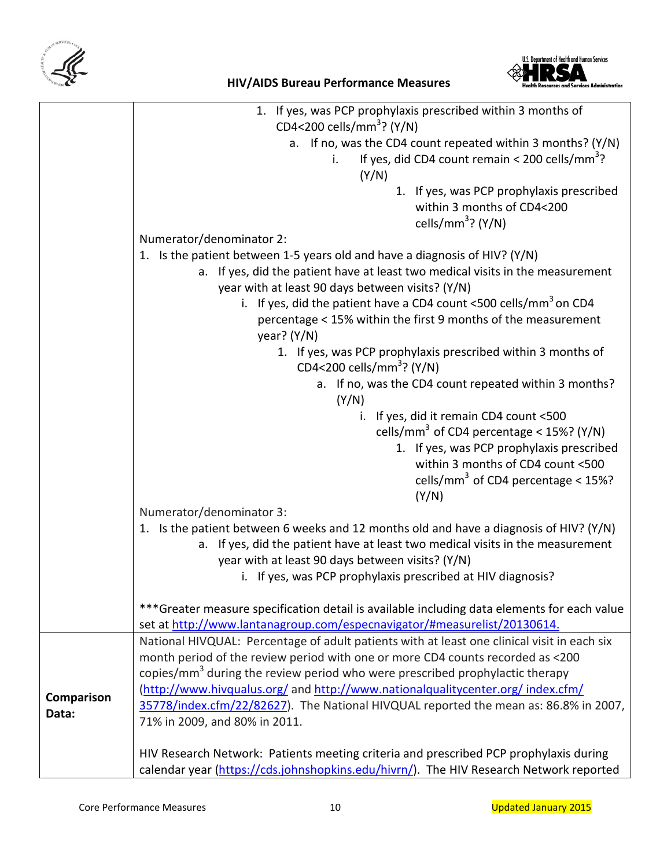



|            | 1. If yes, was PCP prophylaxis prescribed within 3 months of                                |  |  |
|------------|---------------------------------------------------------------------------------------------|--|--|
|            | CD4<200 cells/mm <sup>3</sup> ? (Y/N)                                                       |  |  |
|            | a. If no, was the CD4 count repeated within 3 months? (Y/N)                                 |  |  |
|            | If yes, did CD4 count remain < 200 cells/mm <sup>3</sup> ?<br>i.                            |  |  |
|            | (Y/N)                                                                                       |  |  |
|            | 1. If yes, was PCP prophylaxis prescribed                                                   |  |  |
|            | within 3 months of CD4<200                                                                  |  |  |
|            | cells/mm <sup>3</sup> ? (Y/N)                                                               |  |  |
|            | Numerator/denominator 2:                                                                    |  |  |
|            | 1. Is the patient between 1-5 years old and have a diagnosis of HIV? (Y/N)                  |  |  |
|            | a. If yes, did the patient have at least two medical visits in the measurement              |  |  |
|            | year with at least 90 days between visits? (Y/N)                                            |  |  |
|            | i. If yes, did the patient have a CD4 count <500 cells/ $mm3$ on CD4                        |  |  |
|            | percentage < 15% within the first 9 months of the measurement                               |  |  |
|            | year? $(Y/N)$                                                                               |  |  |
|            | 1. If yes, was PCP prophylaxis prescribed within 3 months of                                |  |  |
|            | CD4<200 cells/mm <sup>3</sup> ? (Y/N)                                                       |  |  |
|            | a. If no, was the CD4 count repeated within 3 months?                                       |  |  |
|            | (Y/N)                                                                                       |  |  |
|            | i. If yes, did it remain CD4 count <500                                                     |  |  |
|            | cells/mm <sup>3</sup> of CD4 percentage < 15%? (Y/N)                                        |  |  |
|            | 1. If yes, was PCP prophylaxis prescribed                                                   |  |  |
|            | within 3 months of CD4 count <500                                                           |  |  |
|            | cells/mm <sup>3</sup> of CD4 percentage < $15\%$ ?                                          |  |  |
|            | (Y/N)                                                                                       |  |  |
|            | Numerator/denominator 3:                                                                    |  |  |
|            | 1. Is the patient between 6 weeks and 12 months old and have a diagnosis of HIV? (Y/N)      |  |  |
|            | a. If yes, did the patient have at least two medical visits in the measurement              |  |  |
|            | year with at least 90 days between visits? (Y/N)                                            |  |  |
|            | i. If yes, was PCP prophylaxis prescribed at HIV diagnosis?                                 |  |  |
|            |                                                                                             |  |  |
|            | ***Greater measure specification detail is available including data elements for each value |  |  |
|            | set at http://www.lantanagroup.com/especnavigator/#measurelist/20130614.                    |  |  |
|            | National HIVQUAL: Percentage of adult patients with at least one clinical visit in each six |  |  |
|            | month period of the review period with one or more CD4 counts recorded as <200              |  |  |
|            | copies/mm <sup>3</sup> during the review period who were prescribed prophylactic therapy    |  |  |
|            | (http://www.hivqualus.org/ and http://www.nationalqualitycenter.org/ index.cfm/             |  |  |
| Comparison | 35778/index.cfm/22/82627). The National HIVQUAL reported the mean as: 86.8% in 2007,        |  |  |
| Data:      | 71% in 2009, and 80% in 2011.                                                               |  |  |
|            |                                                                                             |  |  |
|            | HIV Research Network: Patients meeting criteria and prescribed PCP prophylaxis during       |  |  |
|            | calendar year (https://cds.johnshopkins.edu/hivrn/). The HIV Research Network reported      |  |  |